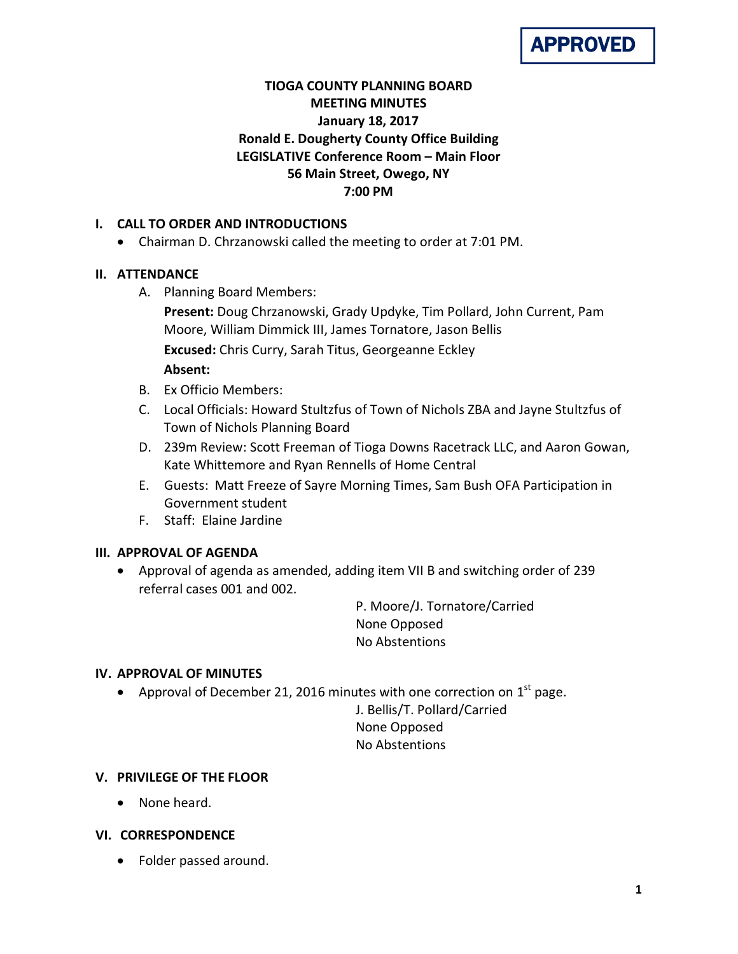# **TIOGA COUNTY PLANNING BOARD MEETING MINUTES January 18, 2017 Ronald E. Dougherty County Office Building LEGISLATIVE Conference Room – Main Floor 56 Main Street, Owego, NY 7:00 PM**

## **I. CALL TO ORDER AND INTRODUCTIONS**

• Chairman D. Chrzanowski called the meeting to order at 7:01 PM.

## **II. ATTENDANCE**

A. Planning Board Members:

**Present:** Doug Chrzanowski, Grady Updyke, Tim Pollard, John Current, Pam Moore, William Dimmick III, James Tornatore, Jason Bellis **Excused:** Chris Curry, Sarah Titus, Georgeanne Eckley **Absent:**

- B. Ex Officio Members:
- C. Local Officials: Howard Stultzfus of Town of Nichols ZBA and Jayne Stultzfus of Town of Nichols Planning Board
- D. 239m Review: Scott Freeman of Tioga Downs Racetrack LLC, and Aaron Gowan, Kate Whittemore and Ryan Rennells of Home Central
- E. Guests: Matt Freeze of Sayre Morning Times, Sam Bush OFA Participation in Government student
- F. Staff: Elaine Jardine

# **III. APPROVAL OF AGENDA**

• Approval of agenda as amended, adding item VII B and switching order of 239 referral cases 001 and 002.

> P. Moore/J. Tornatore/Carried None Opposed No Abstentions

### **IV. APPROVAL OF MINUTES**

• Approval of December 21, 2016 minutes with one correction on  $1<sup>st</sup>$  page.

J. Bellis/T. Pollard/Carried None Opposed No Abstentions

### **V. PRIVILEGE OF THE FLOOR**

• None heard.

### **VI. CORRESPONDENCE**

• Folder passed around.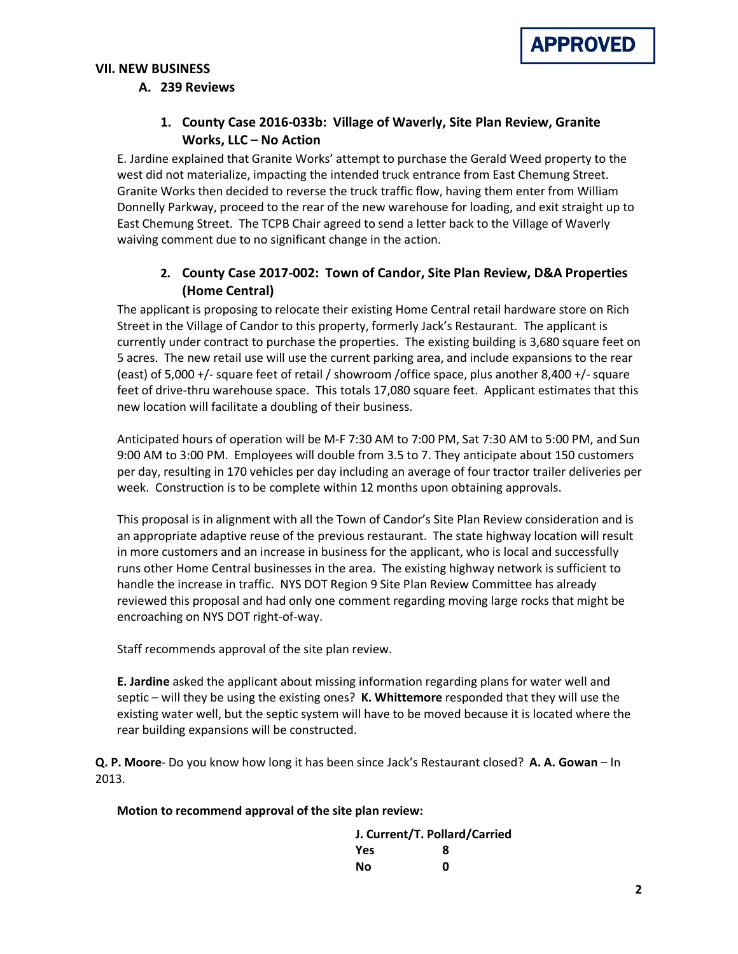

## **VII. NEW BUSINESS**

#### **A. 239 Reviews**

# **1. County Case 2016-033b: Village of Waverly, Site Plan Review, Granite Works, LLC – No Action**

E. Jardine explained that Granite Works' attempt to purchase the Gerald Weed property to the west did not materialize, impacting the intended truck entrance from East Chemung Street. Granite Works then decided to reverse the truck traffic flow, having them enter from William Donnelly Parkway, proceed to the rear of the new warehouse for loading, and exit straight up to East Chemung Street. The TCPB Chair agreed to send a letter back to the Village of Waverly waiving comment due to no significant change in the action.

## **2. County Case 2017-002: Town of Candor, Site Plan Review, D&A Properties (Home Central)**

The applicant is proposing to relocate their existing Home Central retail hardware store on Rich Street in the Village of Candor to this property, formerly Jack's Restaurant. The applicant is currently under contract to purchase the properties. The existing building is 3,680 square feet on 5 acres. The new retail use will use the current parking area, and include expansions to the rear (east) of 5,000 +/- square feet of retail / showroom /office space, plus another 8,400 +/- square feet of drive-thru warehouse space. This totals 17,080 square feet. Applicant estimates that this new location will facilitate a doubling of their business.

Anticipated hours of operation will be M-F 7:30 AM to 7:00 PM, Sat 7:30 AM to 5:00 PM, and Sun 9:00 AM to 3:00 PM. Employees will double from 3.5 to 7. They anticipate about 150 customers per day, resulting in 170 vehicles per day including an average of four tractor trailer deliveries per week. Construction is to be complete within 12 months upon obtaining approvals.

This proposal is in alignment with all the Town of Candor's Site Plan Review consideration and is an appropriate adaptive reuse of the previous restaurant. The state highway location will result in more customers and an increase in business for the applicant, who is local and successfully runs other Home Central businesses in the area. The existing highway network is sufficient to handle the increase in traffic. NYS DOT Region 9 Site Plan Review Committee has already reviewed this proposal and had only one comment regarding moving large rocks that might be encroaching on NYS DOT right-of-way.

Staff recommends approval of the site plan review.

**E. Jardine** asked the applicant about missing information regarding plans for water well and septic – will they be using the existing ones? **K. Whittemore** responded that they will use the existing water well, but the septic system will have to be moved because it is located where the rear building expansions will be constructed.

**Q. P. Moore**- Do you know how long it has been since Jack's Restaurant closed? **A. A. Gowan** – In 2013.

**Motion to recommend approval of the site plan review:**

| J. Current/T. Pollard/Carried |   |
|-------------------------------|---|
| Yes                           | 8 |
| Nο                            | n |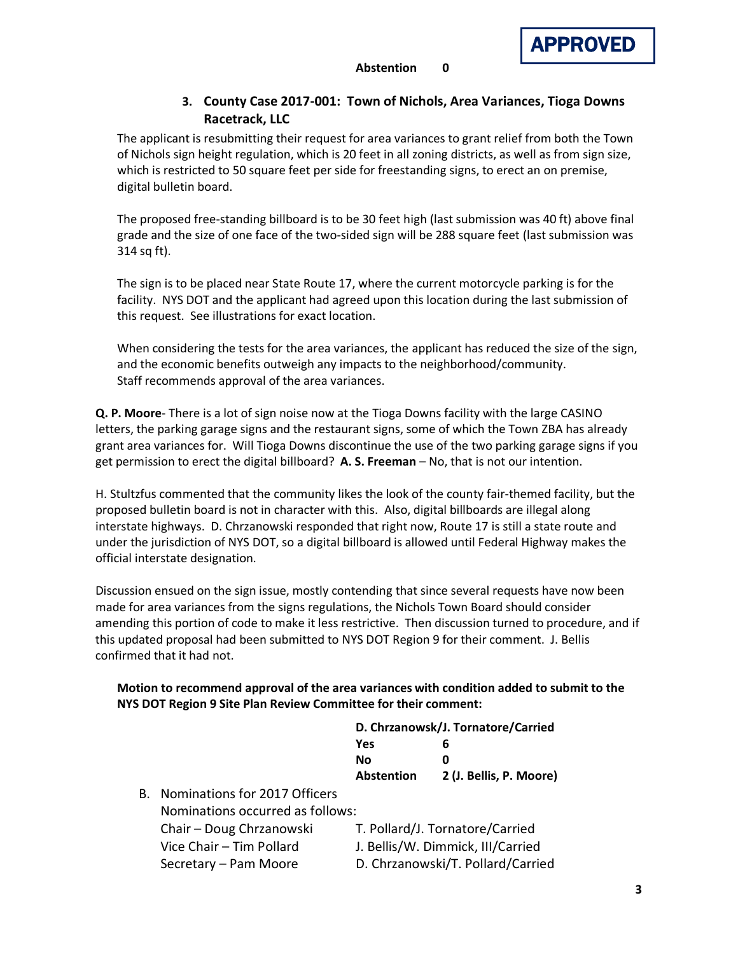

## **3. County Case 2017-001: Town of Nichols, Area Variances, Tioga Downs Racetrack, LLC**

The applicant is resubmitting their request for area variances to grant relief from both the Town of Nichols sign height regulation, which is 20 feet in all zoning districts, as well as from sign size, which is restricted to 50 square feet per side for freestanding signs, to erect an on premise, digital bulletin board.

The proposed free-standing billboard is to be 30 feet high (last submission was 40 ft) above final grade and the size of one face of the two-sided sign will be 288 square feet (last submission was 314 sq ft).

The sign is to be placed near State Route 17, where the current motorcycle parking is for the facility. NYS DOT and the applicant had agreed upon this location during the last submission of this request. See illustrations for exact location.

When considering the tests for the area variances, the applicant has reduced the size of the sign, and the economic benefits outweigh any impacts to the neighborhood/community. Staff recommends approval of the area variances.

**Q. P. Moore**- There is a lot of sign noise now at the Tioga Downs facility with the large CASINO letters, the parking garage signs and the restaurant signs, some of which the Town ZBA has already grant area variances for. Will Tioga Downs discontinue the use of the two parking garage signs if you get permission to erect the digital billboard? **A. S. Freeman** – No, that is not our intention.

H. Stultzfus commented that the community likes the look of the county fair-themed facility, but the proposed bulletin board is not in character with this. Also, digital billboards are illegal along interstate highways. D. Chrzanowski responded that right now, Route 17 is still a state route and under the jurisdiction of NYS DOT, so a digital billboard is allowed until Federal Highway makes the official interstate designation.

Discussion ensued on the sign issue, mostly contending that since several requests have now been made for area variances from the signs regulations, the Nichols Town Board should consider amending this portion of code to make it less restrictive. Then discussion turned to procedure, and if this updated proposal had been submitted to NYS DOT Region 9 for their comment. J. Bellis confirmed that it had not.

#### **Motion to recommend approval of the area variances with condition added to submit to the NYS DOT Region 9 Site Plan Review Committee for their comment:**

| D. Chrzanowsk/J. Tornatore/Carried |                         |
|------------------------------------|-------------------------|
| Yes                                | 6                       |
| Nο                                 | n                       |
| <b>Abstention</b>                  | 2 (J. Bellis, P. Moore) |

B. Nominations for 2017 Officers Nominations occurred as follows: Chair – Doug Chrzanowski T. Pollard/J. Tornatore/Carried Vice Chair – Tim Pollard J. Bellis/W. Dimmick, III/Carried Secretary – Pam Moore D. Chrzanowski/T. Pollard/Carried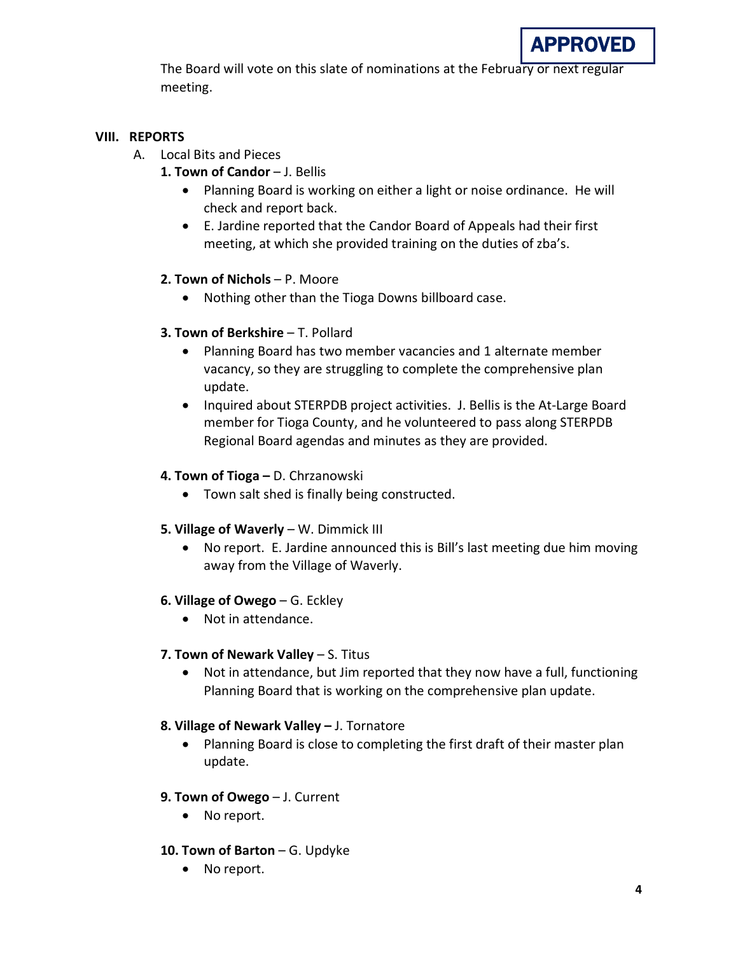The Board will vote on this slate of nominations at the February or next regular meeting.

# **VIII. REPORTS**

- A. Local Bits and Pieces
	- 1. Town of Candor J. Bellis
		- Planning Board is working on either a light or noise ordinance. He will check and report back.
		- E. Jardine reported that the Candor Board of Appeals had their first meeting, at which she provided training on the duties of zba's.

# **2. Town of Nichols** – P. Moore

• Nothing other than the Tioga Downs billboard case.

# **3. Town of Berkshire - T. Pollard**

- Planning Board has two member vacancies and 1 alternate member vacancy, so they are struggling to complete the comprehensive plan update.
- Inquired about STERPDB project activities. J. Bellis is the At-Large Board member for Tioga County, and he volunteered to pass along STERPDB Regional Board agendas and minutes as they are provided.

# **4. Town of Tioga –** D. Chrzanowski

- Town salt shed is finally being constructed.
- **5. Village of Waverly** W. Dimmick III
	- No report. E. Jardine announced this is Bill's last meeting due him moving away from the Village of Waverly.

# **6. Village of Owego** – G. Eckley

• Not in attendance.

# **7. Town of Newark Valley** – S. Titus

• Not in attendance, but Jim reported that they now have a full, functioning Planning Board that is working on the comprehensive plan update.

# **8. Village of Newark Valley –** J. Tornatore

• Planning Board is close to completing the first draft of their master plan update.

# **9. Town of Owego** – J. Current

- No report.
- **10. Town of Barton** G. Updyke
	- No report.